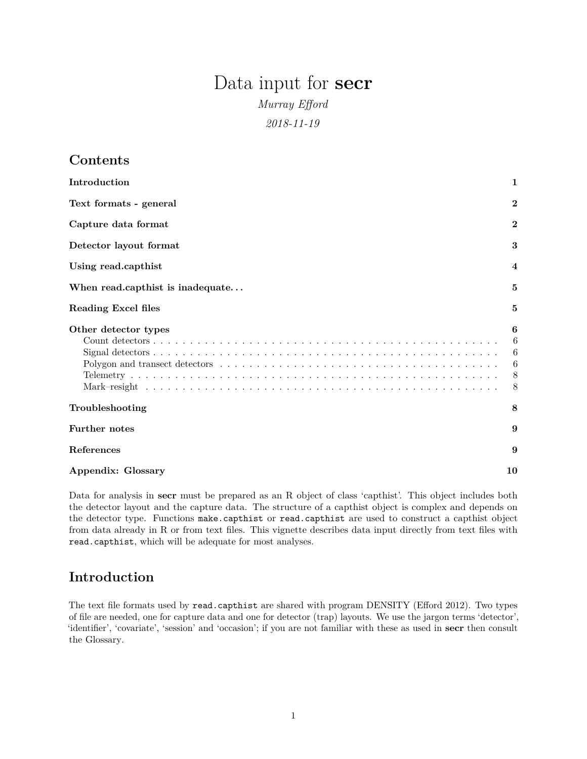# Data input for **secr**

*Murray Efford*

*2018-11-19*

# **Contents**

| Introduction                     | 1                          |
|----------------------------------|----------------------------|
| Text formats - general           | $\bf{2}$                   |
| Capture data format              | $\bf{2}$                   |
| Detector layout format           | 3                          |
| Using read.capthist              | 4                          |
| When read.capthist is inadequate | 5                          |
| Reading Excel files              | 5                          |
| Other detector types             | 6<br>6<br>6<br>6<br>8<br>8 |
| Troubleshooting                  | 8                          |
| <b>Further notes</b>             | 9                          |
| References                       | 9                          |
| Appendix: Glossary               | 10                         |

Data for analysis in **secr** must be prepared as an R object of class 'capthist'. This object includes both the detector layout and the capture data. The structure of a capthist object is complex and depends on the detector type. Functions make.capthist or read.capthist are used to construct a capthist object from data already in R or from text files. This vignette describes data input directly from text files with read.capthist, which will be adequate for most analyses.

# <span id="page-0-0"></span>**Introduction**

The text file formats used by read.capthist are shared with program DENSITY (Efford 2012). Two types of file are needed, one for capture data and one for detector (trap) layouts. We use the jargon terms 'detector', 'identifier', 'covariate', 'session' and 'occasion'; if you are not familiar with these as used in **secr** then consult the [Glossary.](#page-9-1)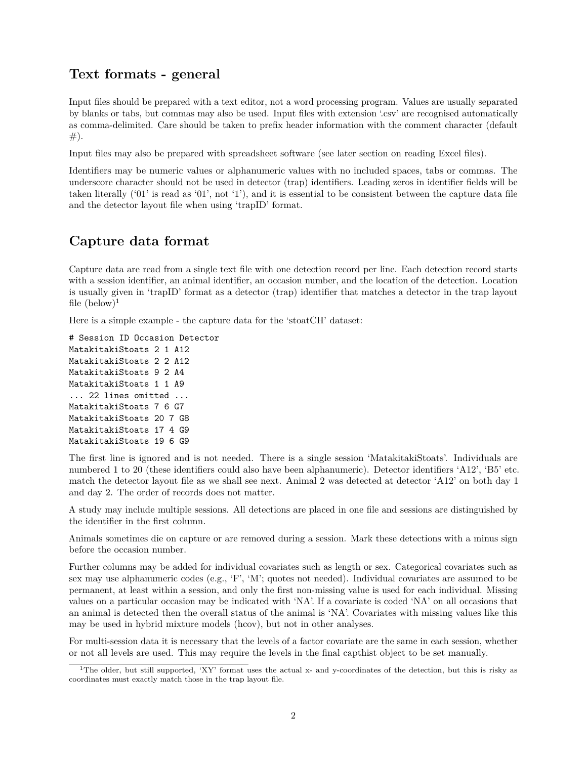# <span id="page-1-0"></span>**Text formats - general**

Input files should be prepared with a text editor, not a word processing program. Values are usually separated by blanks or tabs, but commas may also be used. Input files with extension '.csv' are recognised automatically as comma-delimited. Care should be taken to prefix header information with the comment character (default  $#).$ 

Input files may also be prepared with spreadsheet software (see later section on [reading Excel files\)](#page-4-2).

Identifiers may be numeric values or alphanumeric values with no included spaces, tabs or commas. The underscore character should not be used in detector (trap) identifiers. Leading zeros in identifier fields will be taken literally ('01' is read as '01', not '1'), and it is essential to be consistent between the capture data file and the detector layout file when using 'trapID' format.

# <span id="page-1-1"></span>**Capture data format**

Capture data are read from a single text file with one detection record per line. Each detection record starts with a session identifier, an animal identifier, an occasion number, and the location of the detection. Location is usually given in 'trapID' format as a detector (trap) identifier that matches a detector in the trap layout file  $(below)^1$  $(below)^1$ 

Here is a simple example - the capture data for the 'stoatCH' dataset:

# Session ID Occasion Detector MatakitakiStoats 2 1 A12 MatakitakiStoats 2 2 A12 MatakitakiStoats 9 2 A4 MatakitakiStoats 1 1 A9 ... 22 lines omitted ... MatakitakiStoats 7 6 G7 MatakitakiStoats 20 7 G8 MatakitakiStoats 17 4 G9 MatakitakiStoats 19 6 G9

The first line is ignored and is not needed. There is a single session 'MatakitakiStoats'. Individuals are numbered 1 to 20 (these identifiers could also have been alphanumeric). Detector identifiers 'A12', 'B5' etc. match the detector layout file as we shall see next. Animal 2 was detected at detector 'A12' on both day 1 and day 2. The order of records does not matter.

A study may include multiple sessions. All detections are placed in one file and sessions are distinguished by the identifier in the first column.

Animals sometimes die on capture or are removed during a session. Mark these detections with a minus sign before the occasion number.

Further columns may be added for individual covariates such as length or sex. Categorical covariates such as sex may use alphanumeric codes (e.g., 'F', 'M'; quotes not needed). Individual covariates are assumed to be permanent, at least within a session, and only the first non-missing value is used for each individual. Missing values on a particular occasion may be indicated with 'NA'. If a covariate is coded 'NA' on all occasions that an animal is detected then the overall status of the animal is 'NA'. Covariates with missing values like this may be used in hybrid mixture models (hcov), but not in other analyses.

For multi-session data it is necessary that the levels of a factor covariate are the same in each session, whether or not all levels are used. This may require the levels in the final capthist object to be set manually.

<span id="page-1-2"></span><sup>&</sup>lt;sup>1</sup>The older, but still supported, 'XY' format uses the actual x- and y-coordinates of the detection, but this is risky as coordinates must exactly match those in the trap layout file.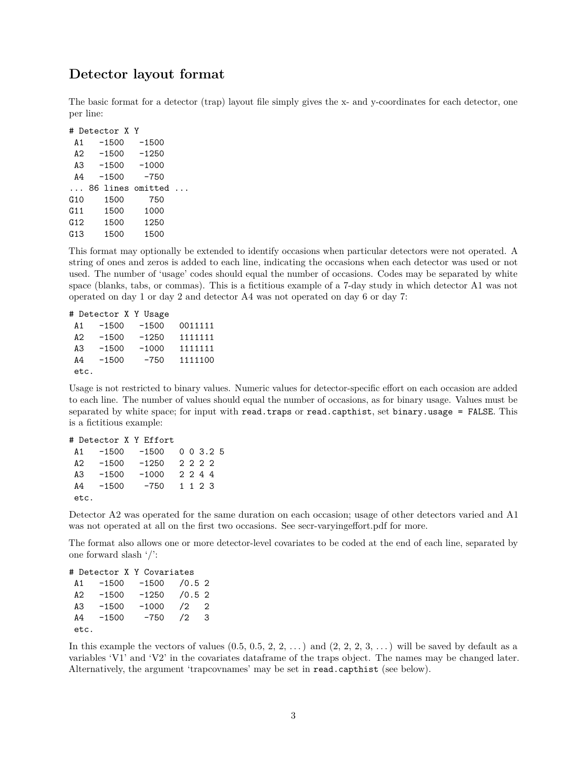## <span id="page-2-0"></span>**Detector layout format**

The basic format for a detector (trap) layout file simply gives the x- and y-coordinates for each detector, one per line:

|          | # Detector X Y |                  |  |
|----------|----------------|------------------|--|
| A1       | $-1500$        | $-1500$          |  |
| A2       | $-1500$        | $-1250$          |  |
|          |                | A3 -1500 -1000   |  |
| A4       | $-1500$        | $-750$           |  |
| $\cdots$ |                | 86 lines omitted |  |
| G10      | 1500           | 750              |  |
| G11      | 1500           | 1000             |  |
| G12      | 1500           | 1250             |  |
| G13      | 1500           | 1500             |  |

This format may optionally be extended to identify occasions when particular detectors were not operated. A string of ones and zeros is added to each line, indicating the occasions when each detector was used or not used. The number of 'usage' codes should equal the number of occasions. Codes may be separated by white space (blanks, tabs, or commas). This is a fictitious example of a 7-day study in which detector A1 was not operated on day 1 or day 2 and detector A4 was not operated on day 6 or day 7:

```
# Detector X Y Usage
A1 -1500 -1500 0011111
A2 -1500 -1250 1111111
A3 -1500 -1000 1111111
A4 -1500 -750 1111100
etc.
```
Usage is not restricted to binary values. Numeric values for detector-specific effort on each occasion are added to each line. The number of values should equal the number of occasions, as for binary usage. Values must be separated by white space; for input with read.traps or read.capthist, set binary.usage = FALSE. This is a fictitious example:

|      |         | # Detector X Y Effort |  |                |  |
|------|---------|-----------------------|--|----------------|--|
| A 1  | -1500   | -1500                 |  | $0 \t0 \t3.25$ |  |
| A 2. | -1500   | $-1250$               |  | 2222           |  |
| A3   | $-1500$ | $-1000$               |  | 2244           |  |
| A4   | -1500   | -750                  |  | 1 1 2 3        |  |
| etc. |         |                       |  |                |  |

Detector A2 was operated for the same duration on each occasion; usage of other detectors varied and A1 was not operated at all on the first two occasions. See [secr-varyingeffort.pdf](https://www.otago.ac.nz/density/pdfs/secr-varyingeffort.pdf) for more.

The format also allows one or more detector-level covariates to be coded at the end of each line, separated by one forward slash '/':

# Detector X Y Covariates A1 -1500 -1500 /0.5 2 A2 -1500 -1250 /0.5 2 A3 -1500 -1000 /2 2 A4 -1500 -750 /2 3 etc.

In this example the vectors of values  $(0.5, 0.5, 2, 2, ...)$  and  $(2, 2, 2, 3, ...)$  will be saved by default as a variables 'V1' and 'V2' in the covariates dataframe of the traps object. The names may be changed later. Alternatively, the argument 'trapcovnames' may be set in read.capthist (see below).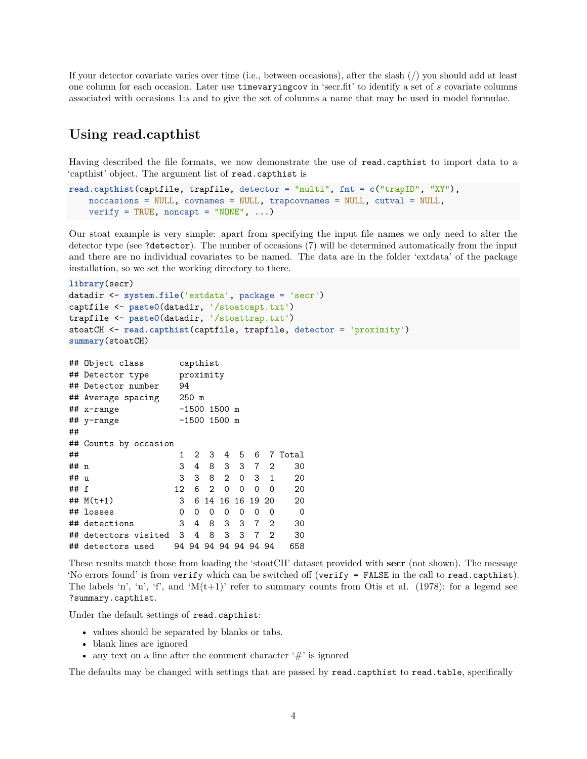If your detector covariate varies over time (i.e., between occasions), after the slash (/) you should add at least one column for each occasion. Later use timevaryingcov in 'secr.fit' to identify a set of *s* covariate columns associated with occasions 1:*s* and to give the set of columns a name that may be used in model formulae.

# <span id="page-3-0"></span>**Using read.capthist**

Having described the file formats, we now demonstrate the use of read.capthist to import data to a 'capthist' object. The argument list of read.capthist is

```
read.capthist(captfile, trapfile, detector = "multi", fmt = c("trapID", "XY"),
   noccasions = NULL, covnames = NULL, trapcovnames = NULL, cutval = NULL,
    verify = TRUE, noncapt = "NONE", \ldots)
```
Our stoat example is very simple: apart from specifying the input file names we only need to alter the detector type (see ?detector). The number of occasions (7) will be determined automatically from the input and there are no individual covariates to be named. The data are in the folder 'extdata' of the package installation, so we set the working directory to there.

**library**(secr)

```
datadir <- system.file('extdata', package = 'secr')
captfile <- paste0(datadir, '/stoatcapt.txt')
trapfile <- paste0(datadir, '/stoattrap.txt')
stoatCH <- read.capthist(captfile, trapfile, detector = 'proximity')
summary(stoatCH)
```

|      | ## Object class       |                | capthist       |                   |                |                      |                |                |             |  |
|------|-----------------------|----------------|----------------|-------------------|----------------|----------------------|----------------|----------------|-------------|--|
|      | ## Detector type      |                | proximity      |                   |                |                      |                |                |             |  |
|      | ## Detector number    |                | 94             |                   |                |                      |                |                |             |  |
|      | ## Average spacing    |                | $250$ m        |                   |                |                      |                |                |             |  |
|      | ## x-range            | $-1500$ 1500 m |                |                   |                |                      |                |                |             |  |
|      | ## y-range            |                | $-1500$ 1500 m |                   |                |                      |                |                |             |  |
| ##   |                       |                |                |                   |                |                      |                |                |             |  |
|      | ## Counts by occasion |                |                |                   |                |                      |                |                |             |  |
| ##   |                       | 1              | 2              | 3                 | 4              | 5                    | 6              |                | 7 Total     |  |
| ## n |                       | 3              | 4              | 8                 | 3              | 3                    |                | 7 <sup>2</sup> | 30          |  |
| ## u |                       | 3              | 3              | 8                 | $\overline{2}$ | $\Omega$             |                | $3 \quad 1$    | 20          |  |
| ## f |                       | 12             | 6              | $\mathcal{D}_{1}$ | $\Omega$       | 0                    | $\Omega$       | $\Omega$       | 20          |  |
|      | ## $M(t+1)$           | 3              | 6              |                   |                | 14 16 16 19 20       |                |                | 20          |  |
|      | ## losses             | 0              | 0              | 0                 | 0              | 0                    | 0              | 0              | $\mathbf 0$ |  |
|      | ## detections         | 3              | 4              | 8                 | 3              | 3                    | $\overline{7}$ | -2             | 30          |  |
|      | ## detectors visited  | 3              | 4              | 8                 | 3              | 3                    | 7              | 2              | 30          |  |
|      | ## detectors used     |                |                |                   |                | 94 94 94 94 94 94 94 |                |                | 658         |  |
|      |                       |                |                |                   |                |                      |                |                |             |  |

These results match those from loading the 'stoatCH' dataset provided with **secr** (not shown). The message 'No errors found' is from verify which can be switched off (verify = FALSE in the call to read.capthist). The labels 'n', 'u', 'f', and ' $M(t+1)$ ' refer to summary counts from Otis et al. (1978); for a legend see ?summary.capthist.

Under the default settings of read.capthist:

- values should be separated by blanks or tabs.
- blank lines are ignored
- any text on a line after the comment character  $\ddot{f}$  is ignored

The defaults may be changed with settings that are passed by read.capthist to read.table, specifically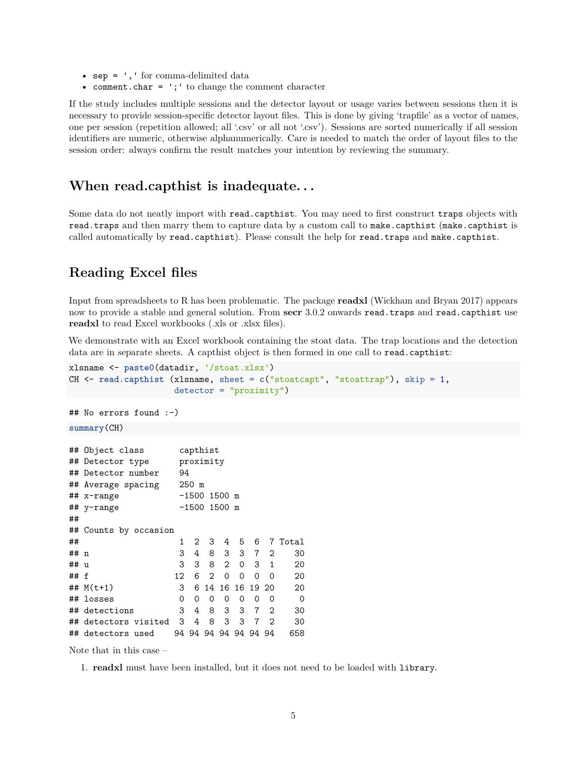- sep = ', ' for comma-delimited data
- comment.char =  $'$ ;  $'$  to change the comment character

If the study includes multiple sessions and the detector layout or usage varies between sessions then it is necessary to provide session-specific detector layout files. This is done by giving 'trapfile' as a vector of names, one per session (repetition allowed; all '.csv' or all not '.csv'). Sessions are sorted numerically if all session identifiers are numeric, otherwise alphanumerically. Care is needed to match the order of layout files to the session order: always confirm the result matches your intention by reviewing the summary.

## <span id="page-4-0"></span>**When read.capthist is inadequate. . .**

Some data do not neatly import with read.capthist. You may need to first construct traps objects with read.traps and then marry them to capture data by a custom call to make.capthist (make.capthist is called automatically by read.capthist). Please consult the help for read.traps and make.capthist.

# <span id="page-4-2"></span><span id="page-4-1"></span>**Reading Excel files**

Input from spreadsheets to R has been problematic. The package **readxl** (Wickham and Bryan 2017) appears now to provide a stable and general solution. From **secr** 3.0.2 onwards read.traps and read.capthist use **readxl** to read Excel workbooks (.xls or .xlsx files).

We demonstrate with an Excel workbook containing the stoat data. The trap locations and the detection data are in separate sheets. A capthist object is then formed in one call to read.capthist:

```
xlsname <- paste0(datadir, '/stoat.xlsx')
CH <- read.capthist (xlsname, sheet = c("stoatcapt", "stoattrap"), skip = 1,
                \text{detector} = "proximity")## No errors found :-)
summary(CH)
## Object class capthist
## Detector type proximity
## Detector number 94
## Average spacing 250 m
## x-range -1500 1500 m
## y-range -1500 1500 m
##
## Counts by occasion
## 1 2 3 4 5 6 7 Total
## n 3 4 8 3 3 7 2 30
## u 3 3 8 2 0 3 1 20
## f 12 6 2 0 0 0 0 20
## M(t+1) 3 6 14 16 16 19 20 20
## losses 0 0 0 0 0 0 0 0
## detections 3 4 8 3 3 7 2 30
## detectors visited 3 4 8 3 3 7 2 30
## detectors used 94 94 94 94 94 94 94 658
```
Note that in this case –

1. **readxl** must have been installed, but it does not need to be loaded with library.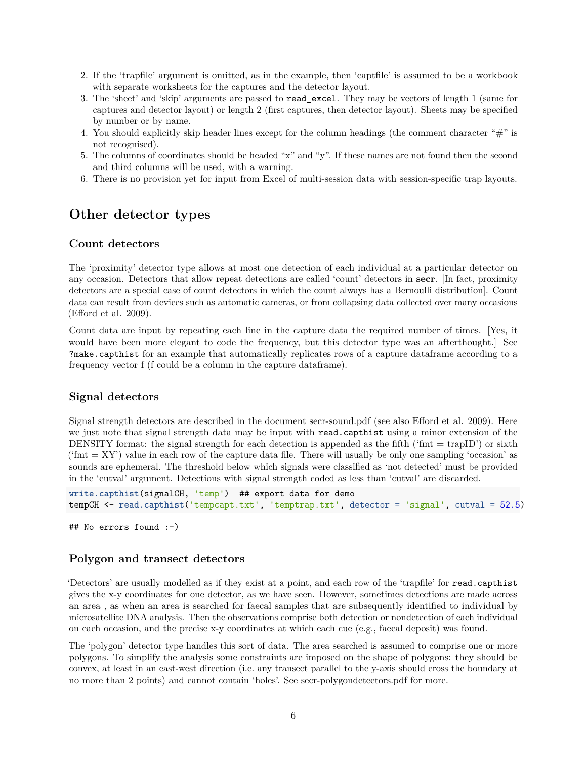- 2. If the 'trapfile' argument is omitted, as in the example, then 'captfile' is assumed to be a workbook with separate worksheets for the captures and the detector layout.
- 3. The 'sheet' and 'skip' arguments are passed to read\_excel. They may be vectors of length 1 (same for captures and detector layout) or length 2 (first captures, then detector layout). Sheets may be specified by number or by name.
- 4. You should explicitly skip header lines except for the column headings (the comment character "#" is not recognised).
- 5. The columns of coordinates should be headed "x" and "y". If these names are not found then the second and third columns will be used, with a warning.
- 6. There is no provision yet for input from Excel of multi-session data with session-specific trap layouts.

# <span id="page-5-0"></span>**Other detector types**

#### <span id="page-5-1"></span>**Count detectors**

The 'proximity' detector type allows at most one detection of each individual at a particular detector on any occasion. Detectors that allow repeat detections are called 'count' detectors in **secr**. [In fact, proximity detectors are a special case of count detectors in which the count always has a Bernoulli distribution]. Count data can result from devices such as automatic cameras, or from collapsing data collected over many occasions (Efford et al. 2009).

Count data are input by repeating each line in the capture data the required number of times. [Yes, it would have been more elegant to code the frequency, but this detector type was an afterthought. See ?make.capthist for an example that automatically replicates rows of a capture dataframe according to a frequency vector f (f could be a column in the capture dataframe).

#### <span id="page-5-2"></span>**Signal detectors**

Signal strength detectors are described in the document [secr-sound.pdf](https://www.otago.ac.nz/density/pdfs/secr-sound.pdf) (see also Efford et al. 2009). Here we just note that signal strength data may be input with read.capthist using a minor extension of the DENSITY format: the signal strength for each detection is appended as the fifth ('fmt  $=$  trapID') or sixth ('fmt  $= XY'$ ) value in each row of the capture data file. There will usually be only one sampling 'occasion' as sounds are ephemeral. The threshold below which signals were classified as 'not detected' must be provided in the 'cutval' argument. Detections with signal strength coded as less than 'cutval' are discarded.

```
write.capthist(signalCH, 'temp') ## export data for demo
tempCH <- read.capthist('tempcapt.txt', 'temptrap.txt', detector = 'signal', cutval = 52.5)
```

```
## No errors found :-)
```
## <span id="page-5-3"></span>**Polygon and transect detectors**

'Detectors' are usually modelled as if they exist at a point, and each row of the 'trapfile' for read.capthist gives the x-y coordinates for one detector, as we have seen. However, sometimes detections are made across an area , as when an area is searched for faecal samples that are subsequently identified to individual by microsatellite DNA analysis. Then the observations comprise both detection or nondetection of each individual on each occasion, and the precise x-y coordinates at which each cue (e.g., faecal deposit) was found.

The 'polygon' detector type handles this sort of data. The area searched is assumed to comprise one or more polygons. To simplify the analysis some constraints are imposed on the shape of polygons: they should be convex, at least in an east-west direction (i.e. any transect parallel to the y-axis should cross the boundary at no more than 2 points) and cannot contain 'holes'. See [secr-polygondetectors.pdf](https://www.otago.ac.nz/density/pdfs/secr-polygondetectors.pdf) for more.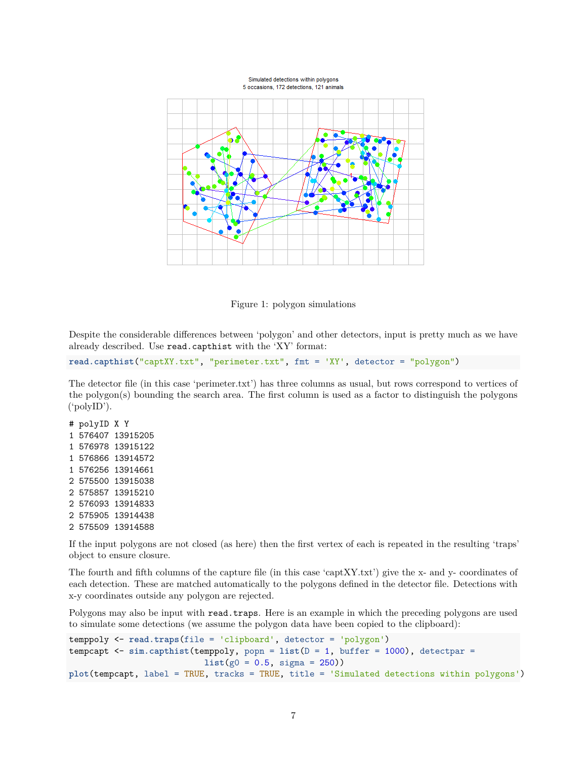

Figure 1: polygon simulations

Despite the considerable differences between 'polygon' and other detectors, input is pretty much as we have already described. Use read.capthist with the 'XY' format:

```
read.capthist("captXY.txt", "perimeter.txt", fmt = 'XY', detector = "polygon")
```
The detector file (in this case 'perimeter.txt') has three columns as usual, but rows correspond to vertices of the polygon(s) bounding the search area. The first column is used as a factor to distinguish the polygons ('polyID').

If the input polygons are not closed (as here) then the first vertex of each is repeated in the resulting 'traps' object to ensure closure.

The fourth and fifth columns of the capture file (in this case 'captXY.txt') give the x- and y- coordinates of each detection. These are matched automatically to the polygons defined in the detector file. Detections with x-y coordinates outside any polygon are rejected.

Polygons may also be input with read.traps. Here is an example in which the preceding polygons are used to simulate some detections (we assume the polygon data have been copied to the clipboard):

```
temppoly <- read.traps(file = 'clipboard', detector = 'polygon')
tempcapt <- sim.capthist(temppoly, popn = list(D = 1, buffer = 1000), detectpar =
                           list(g0 = 0.5, sigma = 250))
plot(tempcapt, label = TRUE, tracks = TRUE, title = 'Simulated detections within polygons')
```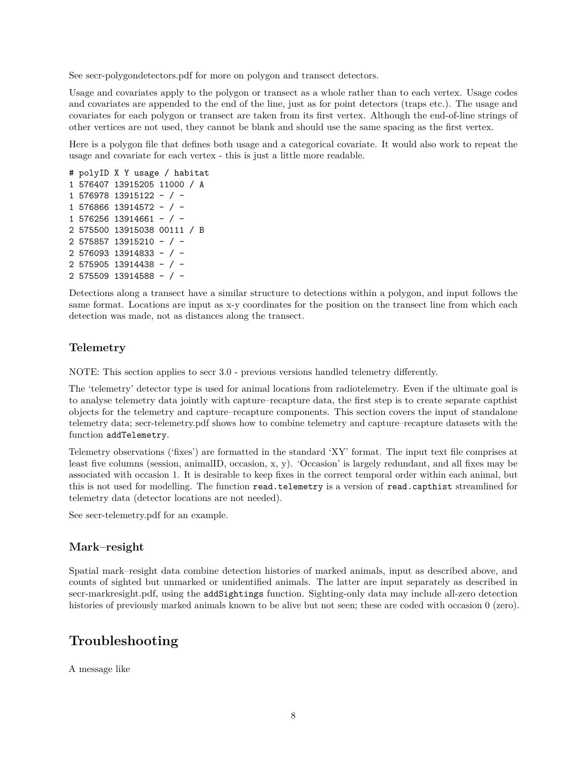See [secr-polygondetectors.pdf](https://www.otago.ac.nz/density/pdfs/secr-polygondetectors.pdf) for more on polygon and transect detectors.

Usage and covariates apply to the polygon or transect as a whole rather than to each vertex. Usage codes and covariates are appended to the end of the line, just as for point detectors (traps etc.). The usage and covariates for each polygon or transect are taken from its first vertex. Although the end-of-line strings of other vertices are not used, they cannot be blank and should use the same spacing as the first vertex.

Here is a polygon file that defines both usage and a categorical covariate. It would also work to repeat the usage and covariate for each vertex - this is just a little more readable.

```
# polyID X Y usage / habitat
1 576407 13915205 11000 / A
1 576978 13915122 - / -
1 576866 13914572 - / -
1 576256 13914661 - / -
2 575500 13915038 00111 / B
2 575857 13915210 - / -
2 576093 13914833 - / -
2 575905 13914438 - / -
2 575509 13914588 - / -
```
Detections along a transect have a similar structure to detections within a polygon, and input follows the same format. Locations are input as x-y coordinates for the position on the transect line from which each detection was made, not as distances along the transect.

## <span id="page-7-0"></span>**Telemetry**

NOTE: This section applies to secr 3.0 - previous versions handled telemetry differently.

The 'telemetry' detector type is used for animal locations from radiotelemetry. Even if the ultimate goal is to analyse telemetry data jointly with capture–recapture data, the first step is to create separate capthist objects for the telemetry and capture–recapture components. This section covers the input of standalone telemetry data; [secr-telemetry.pdf](https://www.otago.ac.nz/density/pdfs/secr-telemetry.pdf) shows how to combine telemetry and capture–recapture datasets with the function addTelemetry.

Telemetry observations ('fixes') are formatted in the standard 'XY' format. The input text file comprises at least five columns (session, animalID, occasion, x, y). 'Occasion' is largely redundant, and all fixes may be associated with occasion 1. It is desirable to keep fixes in the correct temporal order within each animal, but this is not used for modelling. The function read.telemetry is a version of read.capthist streamlined for telemetry data (detector locations are not needed).

See [secr-telemetry.pdf](https://www.otago.ac.nz/density/pdfs/secr-telemetry.pdf) for an example.

## <span id="page-7-1"></span>**Mark–resight**

Spatial mark–resight data combine detection histories of marked animals, input as described above, and counts of sighted but unmarked or unidentified animals. The latter are input separately as described in [secr-markresight.pdf,](https://www.otago.ac.nz/density/pdfs/secr-markresight.pdf) using the addSightings function. Sighting-only data may include all-zero detection histories of previously marked animals known to be alive but not seen; these are coded with occasion 0 (zero).

# <span id="page-7-2"></span>**Troubleshooting**

A message like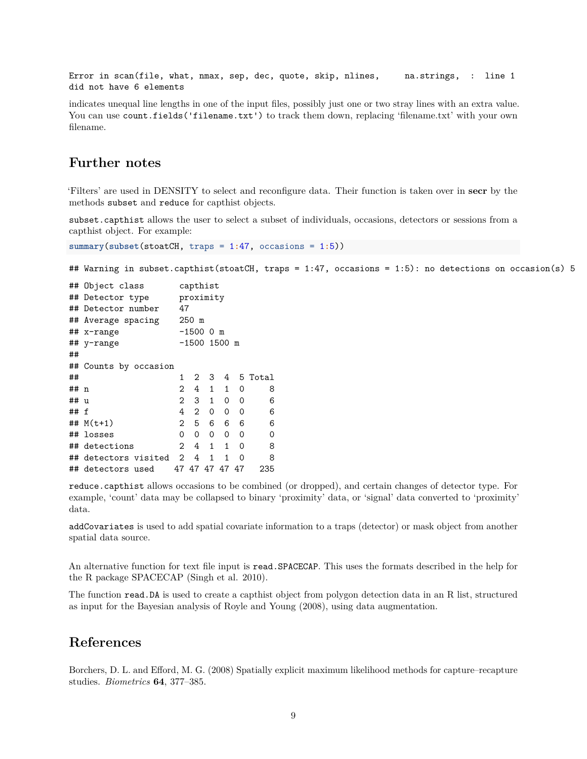Error in scan(file, what, nmax, sep, dec, quote, skip, nlines, na.strings, : line 1 did not have 6 elements

indicates unequal line lengths in one of the input files, possibly just one or two stray lines with an extra value. You can use count.fields('filename.txt') to track them down, replacing 'filename.txt' with your own filename.

## <span id="page-8-0"></span>**Further notes**

'Filters' are used in DENSITY to select and reconfigure data. Their function is taken over in **secr** by the methods subset and reduce for capthist objects.

subset.capthist allows the user to select a subset of individuals, occasions, detectors or sessions from a capthist object. For example:

```
summary(subset(stoatCH, traps = 1:47, occasions = 1:5))
```
## Warning in subset.capthist(stoatCH, traps = 1:47, occasions = 1:5): no detections on occasion(s) 5

|      | ## Object class       | capthist       |              |              |              |    |         |  |  |
|------|-----------------------|----------------|--------------|--------------|--------------|----|---------|--|--|
|      | ## Detector type      |                | proximity    |              |              |    |         |  |  |
|      | ## Detector number    |                | 47           |              |              |    |         |  |  |
|      | ## Average spacing    |                | $250$ m      |              |              |    |         |  |  |
|      | ## x-range            |                | -1500 O m    |              |              |    |         |  |  |
|      | ## y-range            |                | -1500 1500 m |              |              |    |         |  |  |
| ##   |                       |                |              |              |              |    |         |  |  |
|      | ## Counts by occasion |                |              |              |              |    |         |  |  |
| ##   |                       | 1.             | 2            | 3            | 4            |    | 5 Total |  |  |
| ## n |                       | $\overline{2}$ | 4            | 1            | 1            | 0  | 8       |  |  |
| ## u |                       | $\overline{2}$ | 3            | 1            | 0            | 0  | 6       |  |  |
| ## f |                       | 4              | $\mathbf{2}$ | 0            | 0            | 0  | 6       |  |  |
|      | ## $M(t+1)$           | $\mathbf{2}^-$ | 5            | 6            | 6            | 6  | 6       |  |  |
|      | ## losses             | 0              | 0            | 0            | 0            | 0  | 0       |  |  |
|      | ## detections         | $\overline{2}$ | 4            | $\mathbf{1}$ | 1            | 0  | 8       |  |  |
|      | ## detectors visited  | 2              | 4            | $\mathbf{1}$ | $\mathbf{1}$ | 0  | 8       |  |  |
|      | ## detectors used     |                | 47 47 47 47  |              |              | 47 | 235     |  |  |

reduce.capthist allows occasions to be combined (or dropped), and certain changes of detector type. For example, 'count' data may be collapsed to binary 'proximity' data, or 'signal' data converted to 'proximity' data.

addCovariates is used to add spatial covariate information to a traps (detector) or mask object from another spatial data source.

An alternative function for text file input is read.SPACECAP. This uses the formats described in the help for the R package SPACECAP (Singh et al. 2010).

The function read.DA is used to create a capthist object from polygon detection data in an R list, structured as input for the Bayesian analysis of Royle and Young (2008), using data augmentation.

## <span id="page-8-1"></span>**References**

Borchers, D. L. and Efford, M. G. (2008) Spatially explicit maximum likelihood methods for capture–recapture studies. *Biometrics* **64**, 377–385.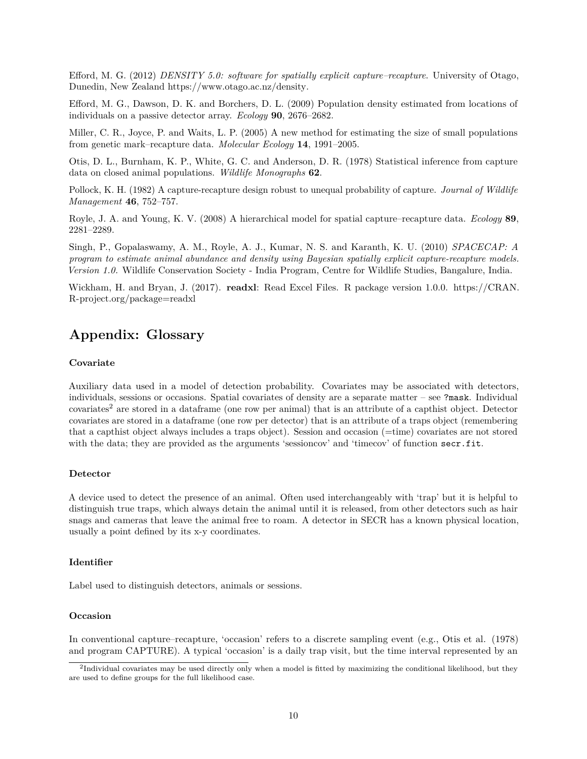Efford, M. G. (2012) *DENSITY 5.0: software for spatially explicit capture–recapture*. University of Otago, Dunedin, New Zealand [https://www.otago.ac.nz/density.](https://www.otago.ac.nz/density)

Efford, M. G., Dawson, D. K. and Borchers, D. L. (2009) Population density estimated from locations of individuals on a passive detector array. *Ecology* **90**, 2676–2682.

Miller, C. R., Joyce, P. and Waits, L. P. (2005) A new method for estimating the size of small populations from genetic mark–recapture data. *Molecular Ecology* **14**, 1991–2005.

Otis, D. L., Burnham, K. P., White, G. C. and Anderson, D. R. (1978) Statistical inference from capture data on closed animal populations. *Wildlife Monographs* **62**.

Pollock, K. H. (1982) A capture-recapture design robust to unequal probability of capture. *Journal of Wildlife Management* **46**, 752–757.

Royle, J. A. and Young, K. V. (2008) A hierarchical model for spatial capture–recapture data. *Ecology* **89**, 2281–2289.

Singh, P., Gopalaswamy, A. M., Royle, A. J., Kumar, N. S. and Karanth, K. U. (2010) *SPACECAP: A program to estimate animal abundance and density using Bayesian spatially explicit capture-recapture models. Version 1.0.* Wildlife Conservation Society - India Program, Centre for Wildlife Studies, Bangalure, India.

<span id="page-9-1"></span>Wickham, H. and Bryan, J. (2017). **readxl**: Read Excel Files. R package version 1.0.0. [https://CRAN.](https://CRAN.R-project.org/package=readxl) [R-project.org/package=readxl](https://CRAN.R-project.org/package=readxl)

# <span id="page-9-0"></span>**Appendix: Glossary**

#### **Covariate**

Auxiliary data used in a model of detection probability. Covariates may be associated with detectors, individuals, sessions or occasions. Spatial covariates of density are a separate matter – see ?mask. Individual covariates<sup>[2](#page-9-2)</sup> are stored in a dataframe (one row per animal) that is an attribute of a capthist object. Detector covariates are stored in a dataframe (one row per detector) that is an attribute of a traps object (remembering that a capthist object always includes a traps object). Session and occasion (=time) covariates are not stored with the data; they are provided as the arguments 'sessioncov' and 'timecov' of function secr.fit.

#### **Detector**

A device used to detect the presence of an animal. Often used interchangeably with 'trap' but it is helpful to distinguish true traps, which always detain the animal until it is released, from other detectors such as hair snags and cameras that leave the animal free to roam. A detector in SECR has a known physical location, usually a point defined by its x-y coordinates.

#### **Identifier**

Label used to distinguish detectors, animals or sessions.

#### **Occasion**

In conventional capture–recapture, 'occasion' refers to a discrete sampling event (e.g., Otis et al. (1978) and program CAPTURE). A typical 'occasion' is a daily trap visit, but the time interval represented by an

<span id="page-9-2"></span><sup>&</sup>lt;sup>2</sup>Individual covariates may be used directly only when a model is fitted by maximizing the conditional likelihood, but they are used to define groups for the full likelihood case.